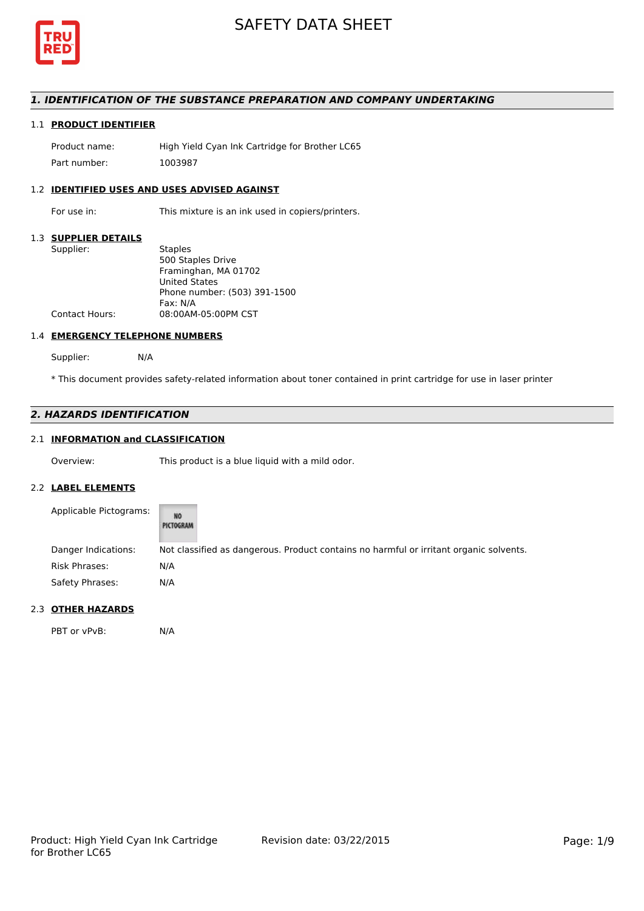

## *1. IDENTIFICATION OF THE SUBSTANCE PREPARATION AND COMPANY UNDERTAKING*

## 1.1 **PRODUCT IDENTIFIER**

Product name: High Yield Cyan Ink Cartridge for Brother LC65 Part number: 1003987

## 1.2 **IDENTIFIED USES AND USES ADVISED AGAINST**

For use in: This mixture is an ink used in copiers/printers.

## 1.3 **SUPPLIER DETAILS**

| Supplier:             | <b>Staples</b>               |
|-----------------------|------------------------------|
|                       | 500 Staples Drive            |
|                       | Framinghan, MA 01702         |
|                       | <b>United States</b>         |
|                       | Phone number: (503) 391-1500 |
|                       | Fax: N/A                     |
| <b>Contact Hours:</b> | 08:00AM-05:00PM CST          |
|                       |                              |

## 1.4 **EMERGENCY TELEPHONE NUMBERS**

Supplier: N/A

\* This document provides safety-related information about toner contained in print cartridge for use in laser printer

# *2. HAZARDS IDENTIFICATION*

# 2.1 **INFORMATION and CLASSIFICATION**

Overview: This product is a blue liquid with a mild odor.

#### 2.2 **LABEL ELEMENTS**

| Applicable Pictograms: | NO<br>PICTOGRAM                                                                        |
|------------------------|----------------------------------------------------------------------------------------|
| Danger Indications:    | Not classified as dangerous. Product contains no harmful or irritant organic solvents. |
| Risk Phrases:          | N/A                                                                                    |
| Safety Phrases:        | N/A                                                                                    |

## 2.3 **OTHER HAZARDS**

PBT or vPvB: N/A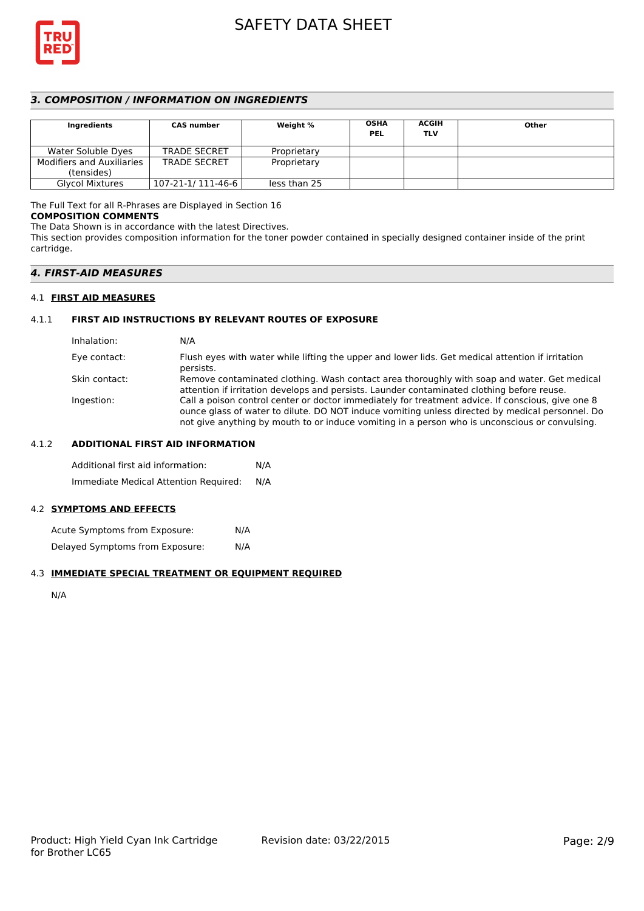

## *3. COMPOSITION / INFORMATION ON INGREDIENTS*

| Ingredients                      | <b>CAS number</b>   | Weight %     | <b>OSHA</b><br><b>PEL</b> | <b>ACGIH</b><br><b>TLV</b> | Other |
|----------------------------------|---------------------|--------------|---------------------------|----------------------------|-------|
| Water Soluble Dyes               | <b>TRADE SECRET</b> | Proprietary  |                           |                            |       |
| <b>Modifiers and Auxiliaries</b> | <b>TRADE SECRET</b> | Proprietary  |                           |                            |       |
| (tensides)                       |                     |              |                           |                            |       |
| <b>Glycol Mixtures</b>           | 107-21-1/ 111-46-6  | less than 25 |                           |                            |       |

# The Full Text for all R-Phrases are Displayed in Section 16

## **COMPOSITION COMMENTS**

The Data Shown is in accordance with the latest Directives.

This section provides composition information for the toner powder contained in specially designed container inside of the print cartridge.

## *4. FIRST-AID MEASURES*

## 4.1 **FIRST AID MEASURES**

## 4.1.1 **FIRST AID INSTRUCTIONS BY RELEVANT ROUTES OF EXPOSURE**

| Inhalation:   | N/A                                                                                                                                                                                                                                                                                                    |
|---------------|--------------------------------------------------------------------------------------------------------------------------------------------------------------------------------------------------------------------------------------------------------------------------------------------------------|
| Eye contact:  | Flush eyes with water while lifting the upper and lower lids. Get medical attention if irritation<br>persists.                                                                                                                                                                                         |
| Skin contact: | Remove contaminated clothing. Wash contact area thoroughly with soap and water. Get medical<br>attention if irritation develops and persists. Launder contaminated clothing before reuse.                                                                                                              |
| Ingestion:    | Call a poison control center or doctor immediately for treatment advice. If conscious, give one 8<br>ounce glass of water to dilute. DO NOT induce vomiting unless directed by medical personnel. Do<br>not give anything by mouth to or induce vomiting in a person who is unconscious or convulsing. |

## 4.1.2 **ADDITIONAL FIRST AID INFORMATION**

Additional first aid information: N/A Immediate Medical Attention Required: N/A

## 4.2 **SYMPTOMS AND EFFECTS**

Acute Symptoms from Exposure: N/A Delayed Symptoms from Exposure: N/A

## 4.3 **IMMEDIATE SPECIAL TREATMENT OR EQUIPMENT REQUIRED**

N/A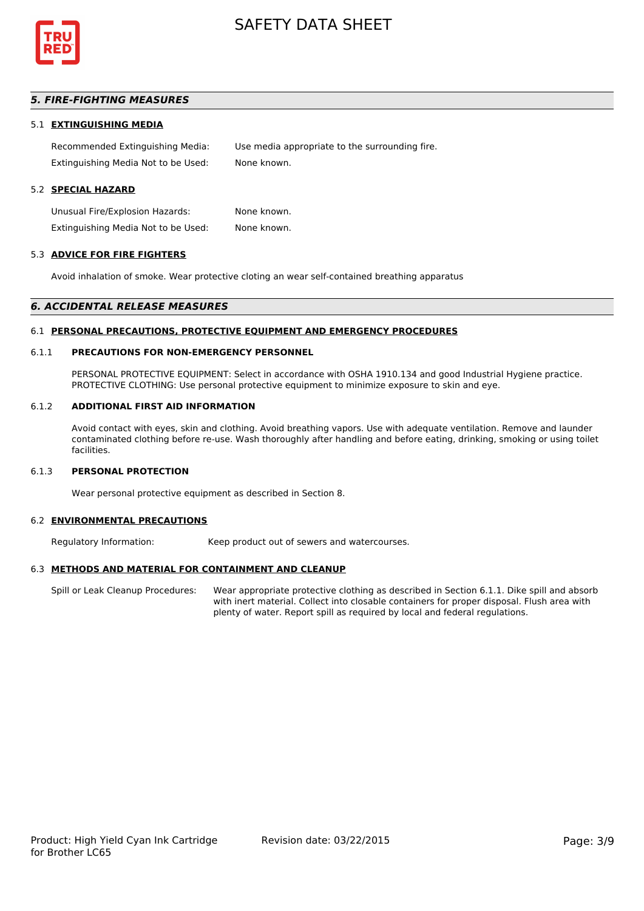

## *5. FIRE-FIGHTING MEASURES*

#### 5.1 **EXTINGUISHING MEDIA**

Recommended Extinguishing Media: Use media appropriate to the surrounding fire. Extinguishing Media Not to be Used: None known.

## 5.2 **SPECIAL HAZARD**

Unusual Fire/Explosion Hazards: None known. Extinguishing Media Not to be Used: None known.

#### 5.3 **ADVICE FOR FIRE FIGHTERS**

Avoid inhalation of smoke. Wear protective cloting an wear self-contained breathing apparatus

#### *6. ACCIDENTAL RELEASE MEASURES*

#### 6.1 **PERSONAL PRECAUTIONS, PROTECTIVE EQUIPMENT AND EMERGENCY PROCEDURES**

### 6.1.1 **PRECAUTIONS FOR NON-EMERGENCY PERSONNEL**

PERSONAL PROTECTIVE EQUIPMENT: Select in accordance with OSHA 1910.134 and good Industrial Hygiene practice. PROTECTIVE CLOTHING: Use personal protective equipment to minimize exposure to skin and eye.

#### 6.1.2 **ADDITIONAL FIRST AID INFORMATION**

Avoid contact with eyes, skin and clothing. Avoid breathing vapors. Use with adequate ventilation. Remove and launder contaminated clothing before re-use. Wash thoroughly after handling and before eating, drinking, smoking or using toilet facilities.

## 6.1.3 **PERSONAL PROTECTION**

Wear personal protective equipment as described in Section 8.

#### 6.2 **ENVIRONMENTAL PRECAUTIONS**

Regulatory Information: Keep product out of sewers and watercourses.

## 6.3 **METHODS AND MATERIAL FOR CONTAINMENT AND CLEANUP**

Spill or Leak Cleanup Procedures: Wear appropriate protective clothing as described in Section 6.1.1. Dike spill and absorb with inert material. Collect into closable containers for proper disposal. Flush area with plenty of water. Report spill as required by local and federal regulations.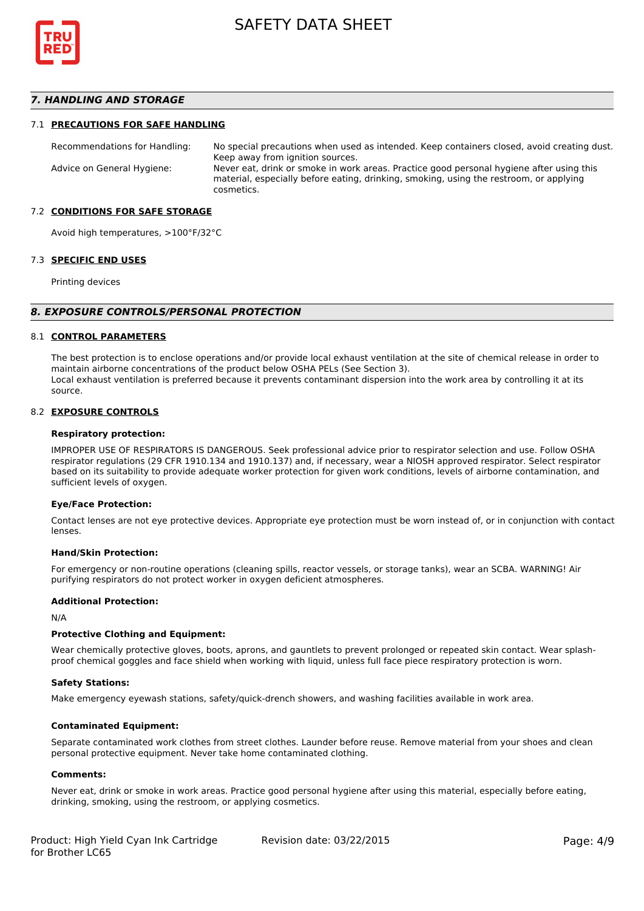

## *7. HANDLING AND STORAGE*

#### 7.1 **PRECAUTIONS FOR SAFE HANDLING**

Recommendations for Handling: No special precautions when used as intended. Keep containers closed, avoid creating dust. Keep away from ignition sources. Advice on General Hygiene: Never eat, drink or smoke in work areas. Practice good personal hygiene after using this material, especially before eating, drinking, smoking, using the restroom, or applying cosmetics.

## 7.2 **CONDITIONS FOR SAFE STORAGE**

Avoid high temperatures, >100°F/32°C

#### 7.3 **SPECIFIC END USES**

Printing devices

#### *8. EXPOSURE CONTROLS/PERSONAL PROTECTION*

#### 8.1 **CONTROL PARAMETERS**

The best protection is to enclose operations and/or provide local exhaust ventilation at the site of chemical release in order to maintain airborne concentrations of the product below OSHA PELs (See Section 3). Local exhaust ventilation is preferred because it prevents contaminant dispersion into the work area by controlling it at its source.

#### 8.2 **EXPOSURE CONTROLS**

#### **Respiratory protection:**

IMPROPER USE OF RESPIRATORS IS DANGEROUS. Seek professional advice prior to respirator selection and use. Follow OSHA respirator regulations (29 CFR 1910.134 and 1910.137) and, if necessary, wear a NIOSH approved respirator. Select respirator based on its suitability to provide adequate worker protection for given work conditions, levels of airborne contamination, and sufficient levels of oxygen.

#### **Eye/Face Protection:**

Contact lenses are not eye protective devices. Appropriate eye protection must be worn instead of, or in conjunction with contact lenses.

#### **Hand/Skin Protection:**

For emergency or non-routine operations (cleaning spills, reactor vessels, or storage tanks), wear an SCBA. WARNING! Air purifying respirators do not protect worker in oxygen deficient atmospheres.

## **Additional Protection:**

N/A

## **Protective Clothing and Equipment:**

Wear chemically protective gloves, boots, aprons, and gauntlets to prevent prolonged or repeated skin contact. Wear splashproof chemical goggles and face shield when working with liquid, unless full face piece respiratory protection is worn.

#### **Safety Stations:**

Make emergency eyewash stations, safety/quick-drench showers, and washing facilities available in work area.

#### **Contaminated Equipment:**

Separate contaminated work clothes from street clothes. Launder before reuse. Remove material from your shoes and clean personal protective equipment. Never take home contaminated clothing.

## **Comments:**

Never eat, drink or smoke in work areas. Practice good personal hygiene after using this material, especially before eating, drinking, smoking, using the restroom, or applying cosmetics.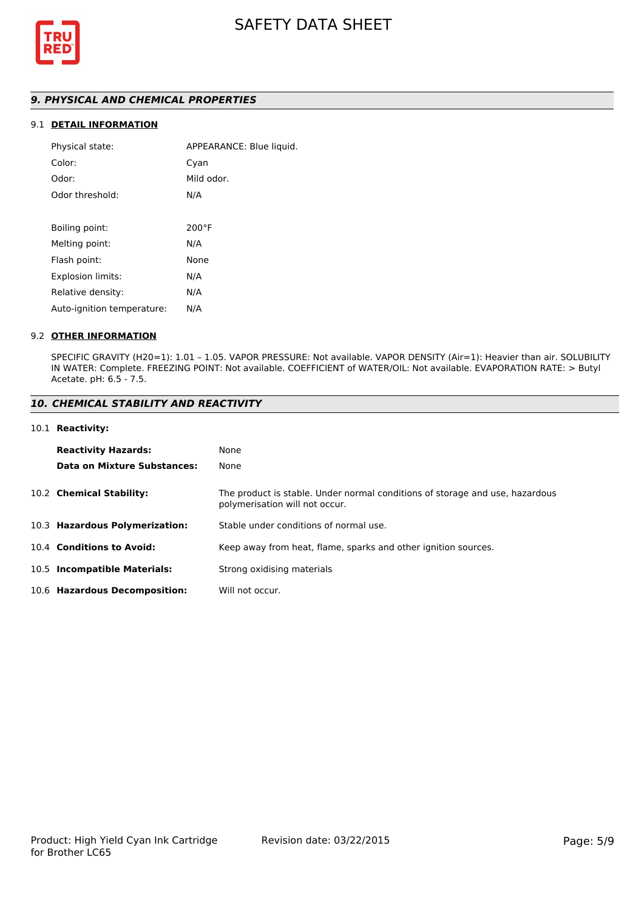

# *9. PHYSICAL AND CHEMICAL PROPERTIES*

# 9.1 **DETAIL INFORMATION**

| Physical state:            | APPEARANCE: Blue liquid. |
|----------------------------|--------------------------|
| Color:                     | Cyan                     |
| Odor:                      | Mild odor.               |
| Odor threshold:            | N/A                      |
|                            |                          |
| Boiling point:             | $200^{\circ}$ F          |
| Melting point:             | N/A                      |
| Flash point:               | None                     |
| Explosion limits:          | N/A                      |
| Relative density:          | N/A                      |
| Auto-ignition temperature: | N/A                      |
|                            |                          |

## 9.2 **OTHER INFORMATION**

SPECIFIC GRAVITY (H20=1): 1.01 – 1.05. VAPOR PRESSURE: Not available. VAPOR DENSITY (Air=1): Heavier than air. SOLUBILITY IN WATER: Complete. FREEZING POINT: Not available. COEFFICIENT of WATER/OIL: Not available. EVAPORATION RATE: > Butyl Acetate. pH: 6.5 - 7.5.

## *10. CHEMICAL STABILITY AND REACTIVITY*

#### 10.1 **Reactivity:**

| <b>Reactivity Hazards:</b>     | None                                                                                                           |
|--------------------------------|----------------------------------------------------------------------------------------------------------------|
| Data on Mixture Substances:    | None                                                                                                           |
| 10.2 Chemical Stability:       | The product is stable. Under normal conditions of storage and use, hazardous<br>polymerisation will not occur. |
| 10.3 Hazardous Polymerization: | Stable under conditions of normal use.                                                                         |
| 10.4 Conditions to Avoid:      | Keep away from heat, flame, sparks and other ignition sources.                                                 |
| 10.5 Incompatible Materials:   | Strong oxidising materials                                                                                     |
| 10.6 Hazardous Decomposition:  | Will not occur.                                                                                                |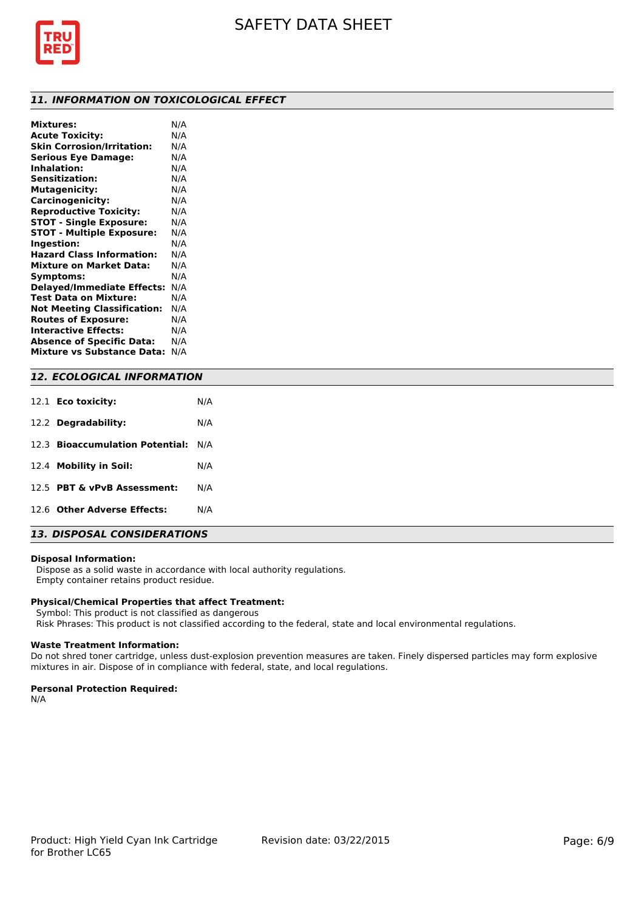

## *11. INFORMATION ON TOXICOLOGICAL EFFECT*

| <b>Mixtures:</b>                   | N/A |
|------------------------------------|-----|
| <b>Acute Toxicity:</b>             | N/A |
| <b>Skin Corrosion/Irritation:</b>  | N/A |
| <b>Serious Eye Damage:</b>         | N/A |
| Inhalation:                        | N/A |
| <b>Sensitization:</b>              | N/A |
| <b>Mutagenicity:</b>               | N/A |
| Carcinogenicity:                   | N/A |
| <b>Reproductive Toxicity:</b>      | N/A |
| <b>STOT - Single Exposure:</b>     | N/A |
| <b>STOT - Multiple Exposure:</b>   | N/A |
| Ingestion:                         | N/A |
| <b>Hazard Class Information:</b>   | N/A |
| <b>Mixture on Market Data:</b>     | N/A |
| Symptoms:                          | N/A |
| <b>Delayed/Immediate Effects:</b>  | N/A |
| Test Data on Mixture:              | N/A |
| <b>Not Meeting Classification:</b> | N/A |
| <b>Routes of Exposure:</b>         | N/A |
| <b>Interactive Effects:</b>        | N/A |
| <b>Absence of Specific Data:</b>   | N/A |
| <b>Mixture vs Substance Data:</b>  | N/A |
|                                    |     |

## *12. ECOLOGICAL INFORMATION*

| 12.1 <b>Eco toxicity:</b>           | N/A |
|-------------------------------------|-----|
| 12.2 Degradability:                 | N/A |
| 12.3 Bioaccumulation Potential: N/A |     |
| 12.4 Mobility in Soil:              | N/A |
| 12.5 PBT & vPvB Assessment:         | N/A |
| 12.6 Other Adverse Effects:         | N/A |

# *13. DISPOSAL CONSIDERATIONS*

## **Disposal Information:**

 Dispose as a solid waste in accordance with local authority regulations. Empty container retains product residue.

## **Physical/Chemical Properties that affect Treatment:**

Symbol: This product is not classified as dangerous

Risk Phrases: This product is not classified according to the federal, state and local environmental regulations.

#### **Waste Treatment Information:**

Do not shred toner cartridge, unless dust-explosion prevention measures are taken. Finely dispersed particles may form explosive mixtures in air. Dispose of in compliance with federal, state, and local regulations.

## **Personal Protection Required:**

N/A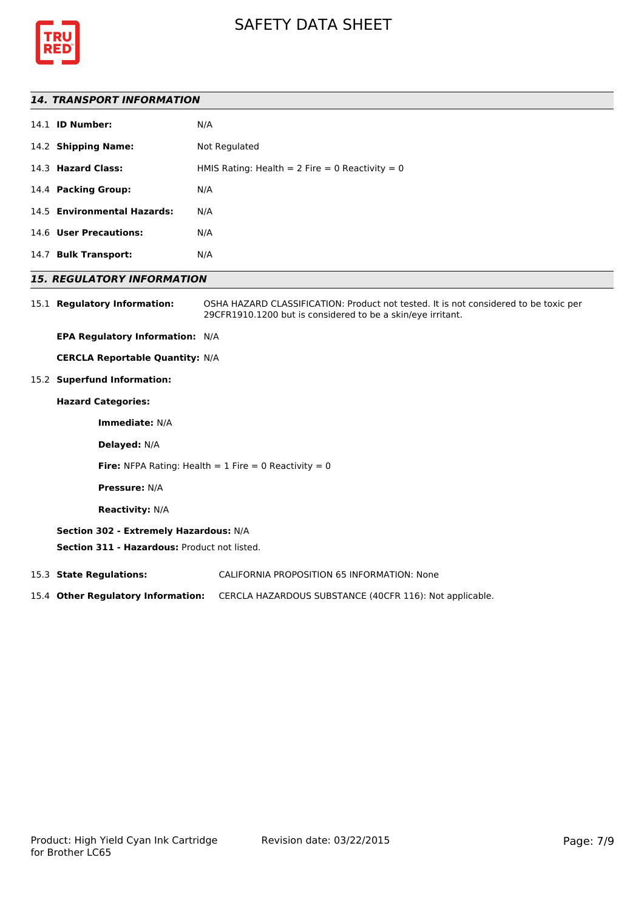



## *14. TRANSPORT INFORMATION*

|      | 14.1 <b>ID Number:</b>      | N/A                                             |
|------|-----------------------------|-------------------------------------------------|
|      | 14.2 Shipping Name:         | Not Regulated                                   |
|      | 14.3 Hazard Class:          | HMIS Rating: Health = 2 Fire = 0 Reactivity = 0 |
|      | 14.4 Packing Group:         | N/A                                             |
|      | 14.5 Environmental Hazards: | N/A                                             |
|      | 14.6 User Precautions:      | N/A                                             |
| 14.7 | <b>Bulk Transport:</b>      | N/A                                             |
|      |                             |                                                 |

## *15. REGULATORY INFORMATION*

15.1 **Regulatory Information:** OSHA HAZARD CLASSIFICATION: Product not tested. It is not considered to be toxic per 29CFR1910.1200 but is considered to be a skin/eye irritant.

**EPA Regulatory Information:** N/A

**CERCLA Reportable Quantity:** N/A

15.2 **Superfund Information:**

## **Hazard Categories:**

**Immediate:** N/A

**Delayed:** N/A

**Fire:** NFPA Rating: Health  $= 1$  Fire  $= 0$  Reactivity  $= 0$ 

**Pressure:** N/A

**Reactivity:** N/A

## **Section 302 - Extremely Hazardous:** N/A

**Section 311 - Hazardous:** Product not listed.

15.3 **State Regulations:** CALIFORNIA PROPOSITION 65 INFORMATION: None

15.4 **Other Regulatory Information:** CERCLA HAZARDOUS SUBSTANCE (40CFR 116): Not applicable.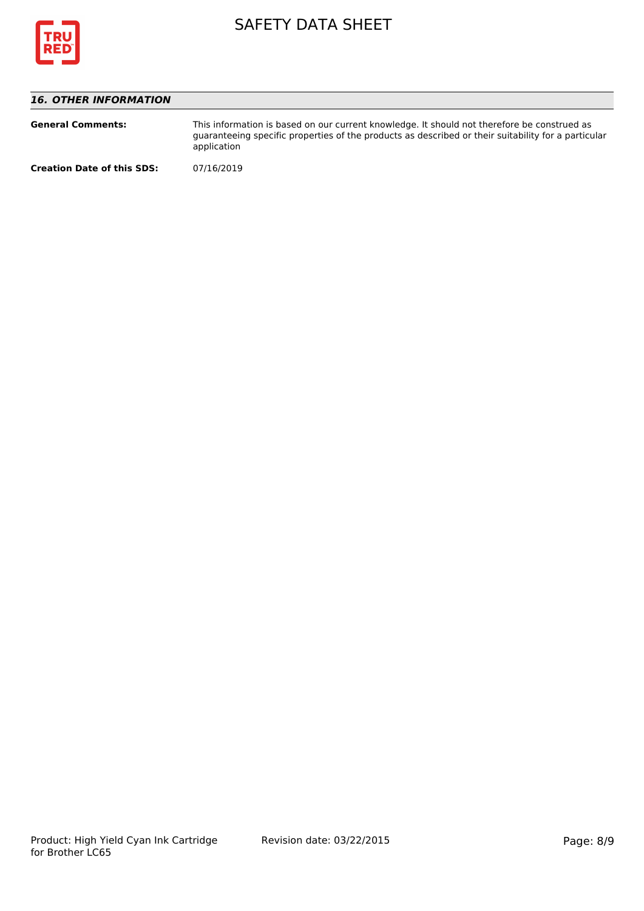

# *16. OTHER INFORMATION*

| <b>General Comments:</b>          | This information is based on our current knowledge. It should not therefore be construed as<br>guaranteeing specific properties of the products as described or their suitability for a particular<br>application |  |
|-----------------------------------|-------------------------------------------------------------------------------------------------------------------------------------------------------------------------------------------------------------------|--|
| <b>Creation Date of this SDS:</b> | 07/16/2019                                                                                                                                                                                                        |  |